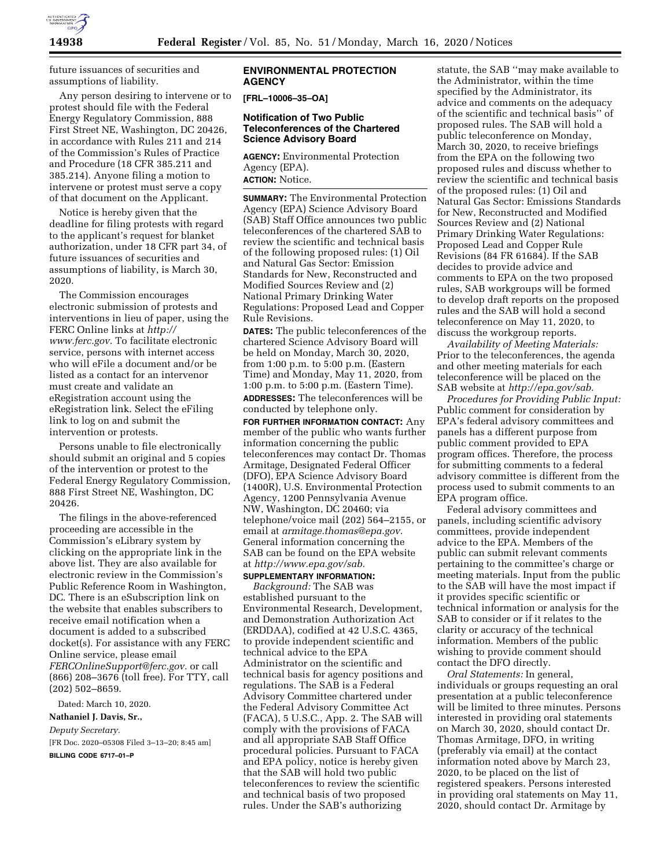

future issuances of securities and assumptions of liability.

Any person desiring to intervene or to protest should file with the Federal Energy Regulatory Commission, 888 First Street NE, Washington, DC 20426, in accordance with Rules 211 and 214 of the Commission's Rules of Practice and Procedure (18 CFR 385.211 and 385.214). Anyone filing a motion to intervene or protest must serve a copy of that document on the Applicant.

Notice is hereby given that the deadline for filing protests with regard to the applicant's request for blanket authorization, under 18 CFR part 34, of future issuances of securities and assumptions of liability, is March 30, 2020.

The Commission encourages electronic submission of protests and interventions in lieu of paper, using the FERC Online links at *[http://](http://www.ferc.gov) [www.ferc.gov.](http://www.ferc.gov)* To facilitate electronic service, persons with internet access who will eFile a document and/or be listed as a contact for an intervenor must create and validate an eRegistration account using the eRegistration link. Select the eFiling link to log on and submit the intervention or protests.

Persons unable to file electronically should submit an original and 5 copies of the intervention or protest to the Federal Energy Regulatory Commission, 888 First Street NE, Washington, DC 20426.

The filings in the above-referenced proceeding are accessible in the Commission's eLibrary system by clicking on the appropriate link in the above list. They are also available for electronic review in the Commission's Public Reference Room in Washington, DC. There is an eSubscription link on the website that enables subscribers to receive email notification when a document is added to a subscribed docket(s). For assistance with any FERC Online service, please email *[FERCOnlineSupport@ferc.gov.](mailto:FERCOnlineSupport@ferc.gov)* or call (866) 208–3676 (toll free). For TTY, call (202) 502–8659.

Dated: March 10, 2020.

**Nathaniel J. Davis, Sr.,**  *Deputy Secretary.*  [FR Doc. 2020–05308 Filed 3–13–20; 8:45 am]

**BILLING CODE 6717–01–P** 

### **ENVIRONMENTAL PROTECTION AGENCY**

**[FRL–10006–35–OA]** 

# **Notification of Two Public Teleconferences of the Chartered Science Advisory Board**

**AGENCY:** Environmental Protection Agency (EPA). **ACTION:** Notice.

**SUMMARY:** The Environmental Protection Agency (EPA) Science Advisory Board (SAB) Staff Office announces two public teleconferences of the chartered SAB to review the scientific and technical basis of the following proposed rules: (1) Oil and Natural Gas Sector: Emission Standards for New, Reconstructed and Modified Sources Review and (2) National Primary Drinking Water Regulations: Proposed Lead and Copper Rule Revisions.

**DATES:** The public teleconferences of the chartered Science Advisory Board will be held on Monday, March 30, 2020, from 1:00 p.m. to 5:00 p.m. (Eastern Time) and Monday, May 11, 2020, from 1:00 p.m. to 5:00 p.m. (Eastern Time). **ADDRESSES:** The teleconferences will be conducted by telephone only.

**FOR FURTHER INFORMATION CONTACT:** Any member of the public who wants further information concerning the public teleconferences may contact Dr. Thomas Armitage, Designated Federal Officer (DFO), EPA Science Advisory Board (1400R), U.S. Environmental Protection Agency, 1200 Pennsylvania Avenue NW, Washington, DC 20460; via telephone/voice mail (202) 564–2155, or email at *[armitage.thomas@epa.gov.](mailto:armitage.thomas@epa.gov)*  General information concerning the SAB can be found on the EPA website at *[http://www.epa.gov/sab.](http://www.epa.gov/sab)* 

# **SUPPLEMENTARY INFORMATION:**

*Background:* The SAB was established pursuant to the Environmental Research, Development, and Demonstration Authorization Act (ERDDAA), codified at 42 U.S.C. 4365, to provide independent scientific and technical advice to the EPA Administrator on the scientific and technical basis for agency positions and regulations. The SAB is a Federal Advisory Committee chartered under the Federal Advisory Committee Act (FACA), 5 U.S.C., App. 2. The SAB will comply with the provisions of FACA and all appropriate SAB Staff Office procedural policies. Pursuant to FACA and EPA policy, notice is hereby given that the SAB will hold two public teleconferences to review the scientific and technical basis of two proposed rules. Under the SAB's authorizing

statute, the SAB ''may make available to the Administrator, within the time specified by the Administrator, its advice and comments on the adequacy of the scientific and technical basis'' of proposed rules. The SAB will hold a public teleconference on Monday, March 30, 2020, to receive briefings from the EPA on the following two proposed rules and discuss whether to review the scientific and technical basis of the proposed rules: (1) Oil and Natural Gas Sector: Emissions Standards for New, Reconstructed and Modified Sources Review and (2) National Primary Drinking Water Regulations: Proposed Lead and Copper Rule Revisions (84 FR 61684). If the SAB decides to provide advice and comments to EPA on the two proposed rules, SAB workgroups will be formed to develop draft reports on the proposed rules and the SAB will hold a second teleconference on May 11, 2020, to discuss the workgroup reports.

*Availability of Meeting Materials:*  Prior to the teleconferences, the agenda and other meeting materials for each teleconference will be placed on the SAB website at *[http://epa.gov/sab.](http://epa.gov/sab)* 

*Procedures for Providing Public Input:*  Public comment for consideration by EPA's federal advisory committees and panels has a different purpose from public comment provided to EPA program offices. Therefore, the process for submitting comments to a federal advisory committee is different from the process used to submit comments to an EPA program office.

Federal advisory committees and panels, including scientific advisory committees, provide independent advice to the EPA. Members of the public can submit relevant comments pertaining to the committee's charge or meeting materials. Input from the public to the SAB will have the most impact if it provides specific scientific or technical information or analysis for the SAB to consider or if it relates to the clarity or accuracy of the technical information. Members of the public wishing to provide comment should contact the DFO directly.

*Oral Statements:* In general, individuals or groups requesting an oral presentation at a public teleconference will be limited to three minutes. Persons interested in providing oral statements on March 30, 2020, should contact Dr. Thomas Armitage, DFO, in writing (preferably via email) at the contact information noted above by March 23, 2020, to be placed on the list of registered speakers. Persons interested in providing oral statements on May 11, 2020, should contact Dr. Armitage by